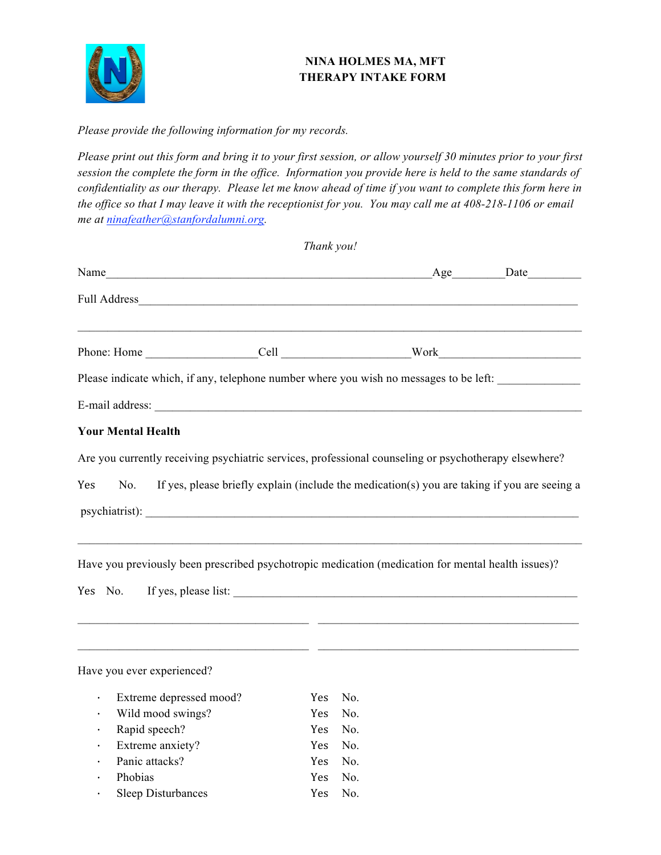

## **NINA HOLMES MA, MFT THERAPY INTAKE FORM**

*Please provide the following information for my records.* 

*Please print out this form and bring it to your first session, or allow yourself 30 minutes prior to your first session the complete the form in the office. Information you provide here is held to the same standards of confidentiality as our therapy. Please let me know ahead of time if you want to complete this form here in the office so that I may leave it with the receptionist for you. You may call me at 408-218-1106 or email me at ninafeather@stanfordalumni.org.* 

| Thank you!                 |  |                                                                                                                                                                                                                             |  |  |  |  |
|----------------------------|--|-----------------------------------------------------------------------------------------------------------------------------------------------------------------------------------------------------------------------------|--|--|--|--|
|                            |  |                                                                                                                                                                                                                             |  |  |  |  |
|                            |  |                                                                                                                                                                                                                             |  |  |  |  |
|                            |  | <u> 1989 - Jan James James James James James James James James James James James James James James James James J</u>                                                                                                        |  |  |  |  |
|                            |  | Please indicate which, if any, telephone number where you wish no messages to be left:                                                                                                                                      |  |  |  |  |
|                            |  |                                                                                                                                                                                                                             |  |  |  |  |
| <b>Your Mental Health</b>  |  |                                                                                                                                                                                                                             |  |  |  |  |
|                            |  | Are you currently receiving psychiatric services, professional counseling or psychotherapy elsewhere?                                                                                                                       |  |  |  |  |
| Yes                        |  | No. If yes, please briefly explain (include the medication(s) you are taking if you are seeing a                                                                                                                            |  |  |  |  |
|                            |  | <u> 1989 - Johann Stoff, deutscher Stoff, der Stoff, der Stoff, der Stoff, der Stoff, der Stoff, der Stoff, der S</u><br>Have you previously been prescribed psychotropic medication (medication for mental health issues)? |  |  |  |  |
| Have you ever experienced? |  | <u> 2000 - Jan James James (f. 1989)</u> (f. 1989)                                                                                                                                                                          |  |  |  |  |
|                            |  |                                                                                                                                                                                                                             |  |  |  |  |

| $\bullet$ . | Extreme depressed mood?   | Yes No. |  |
|-------------|---------------------------|---------|--|
|             | $\cdot$ Wild mood swings? | Yes No. |  |
| $\bullet$ . | Rapid speech?             | Yes No. |  |
|             | $\cdot$ Extreme anxiety?  | Yes No. |  |
|             | · Panic attacks?          | Yes No  |  |
| $\bullet$   | Phobias                   | Yes No  |  |
|             | <b>Sleep Disturbances</b> | Yes No. |  |